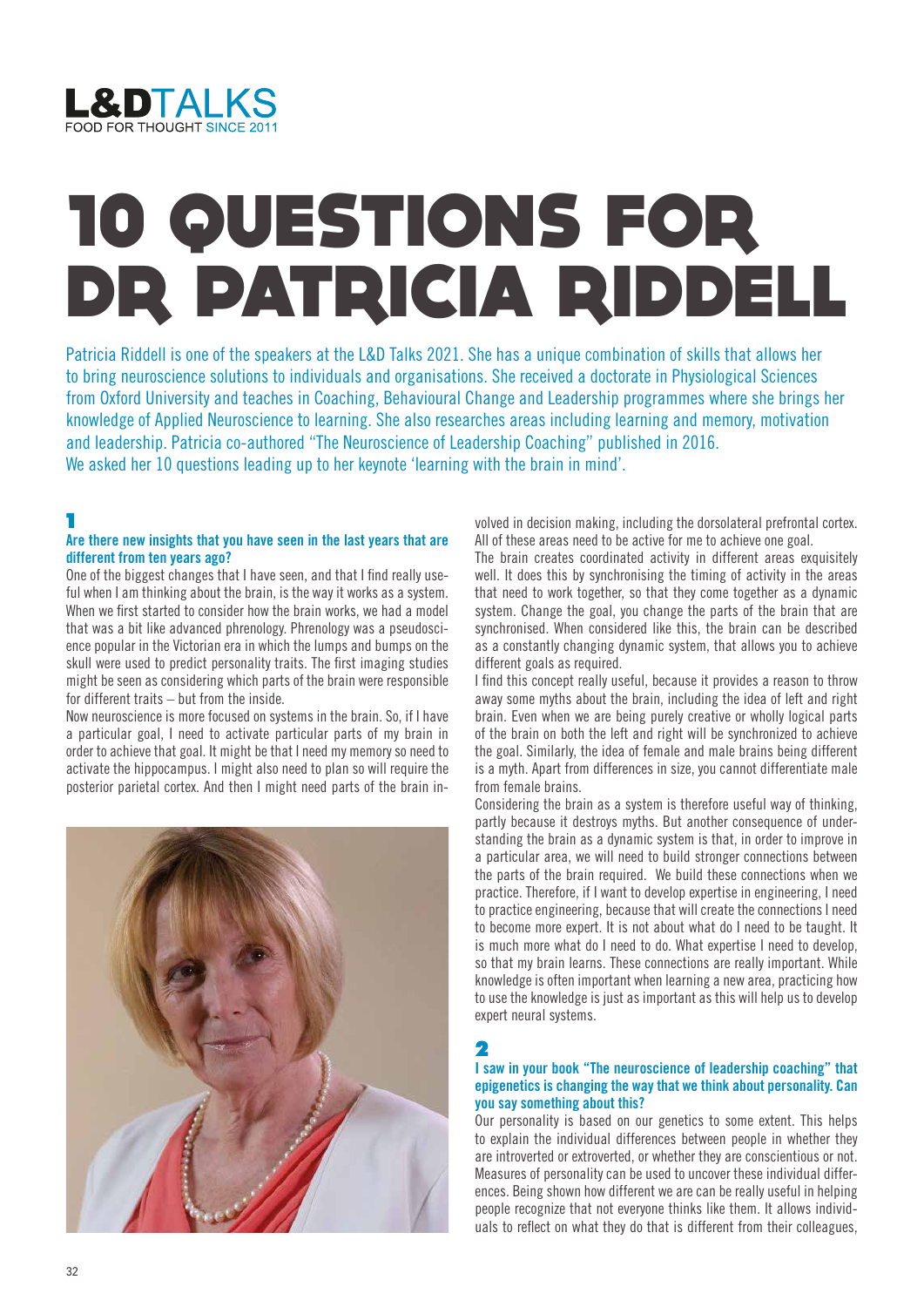

# 10 QUESTIONS FOR DR PATRICIA RIDDELL

Patricia Riddell is one of the speakers at the L&D Talks 2021. She has a unique combination of skills that allows her to bring neuroscience solutions to individuals and organisations. She received a doctorate in Physiological Sciences from Oxford University and teaches in Coaching, Behavioural Change and Leadership programmes where she brings her knowledge of Applied Neuroscience to learning. She also researches areas including learning and memory, motivation and leadership. Patricia co-authored "The Neuroscience of Leadership Coaching" published in 2016. We asked her 10 questions leading up to her keynote 'learning with the brain in mind'.

1

## **Are there new insights that you have seen in the last years that are different from ten years ago?**

One of the biggest changes that I have seen, and that I find really useful when I am thinking about the brain, is the way it works as a system. When we first started to consider how the brain works, we had a model that was a bit like advanced phrenology. Phrenology was a pseudoscience popular in the Victorian era in which the lumps and bumps on the skull were used to predict personality traits. The first imaging studies might be seen as considering which parts of the brain were responsible for different traits – but from the inside.

Now neuroscience is more focused on systems in the brain. So, if I have a particular goal, I need to activate particular parts of my brain in order to achieve that goal. It might be that I need my memory so need to activate the hippocampus. I might also need to plan so will require the posterior parietal cortex. And then I might need parts of the brain in-



volved in decision making, including the dorsolateral prefrontal cortex. All of these areas need to be active for me to achieve one goal.

The brain creates coordinated activity in different areas exquisitely well. It does this by synchronising the timing of activity in the areas that need to work together, so that they come together as a dynamic system. Change the goal, you change the parts of the brain that are synchronised. When considered like this, the brain can be described as a constantly changing dynamic system, that allows you to achieve different goals as required.

I find this concept really useful, because it provides a reason to throw away some myths about the brain, including the idea of left and right brain. Even when we are being purely creative or wholly logical parts of the brain on both the left and right will be synchronized to achieve the goal. Similarly, the idea of female and male brains being different is a myth. Apart from differences in size, you cannot differentiate male from female brains.

Considering the brain as a system is therefore useful way of thinking, partly because it destroys myths. But another consequence of understanding the brain as a dynamic system is that, in order to improve in a particular area, we will need to build stronger connections between the parts of the brain required. We build these connections when we practice. Therefore, if I want to develop expertise in engineering, I need to practice engineering, because that will create the connections I need to become more expert. It is not about what do I need to be taught. It is much more what do I need to do. What expertise I need to develop, so that my brain learns. These connections are really important. While knowledge is often important when learning a new area, practicing how to use the knowledge is just as important as this will help us to develop expert neural systems.

## 2

### **I saw in your book "The neuroscience of leadership coaching" that epigenetics is changing the way that we think about personality. Can you say something about this?**

Our personality is based on our genetics to some extent. This helps to explain the individual differences between people in whether they are introverted or extroverted, or whether they are conscientious or not. Measures of personality can be used to uncover these individual differences. Being shown how different we are can be really useful in helping people recognize that not everyone thinks like them. It allows individuals to reflect on what they do that is different from their colleagues,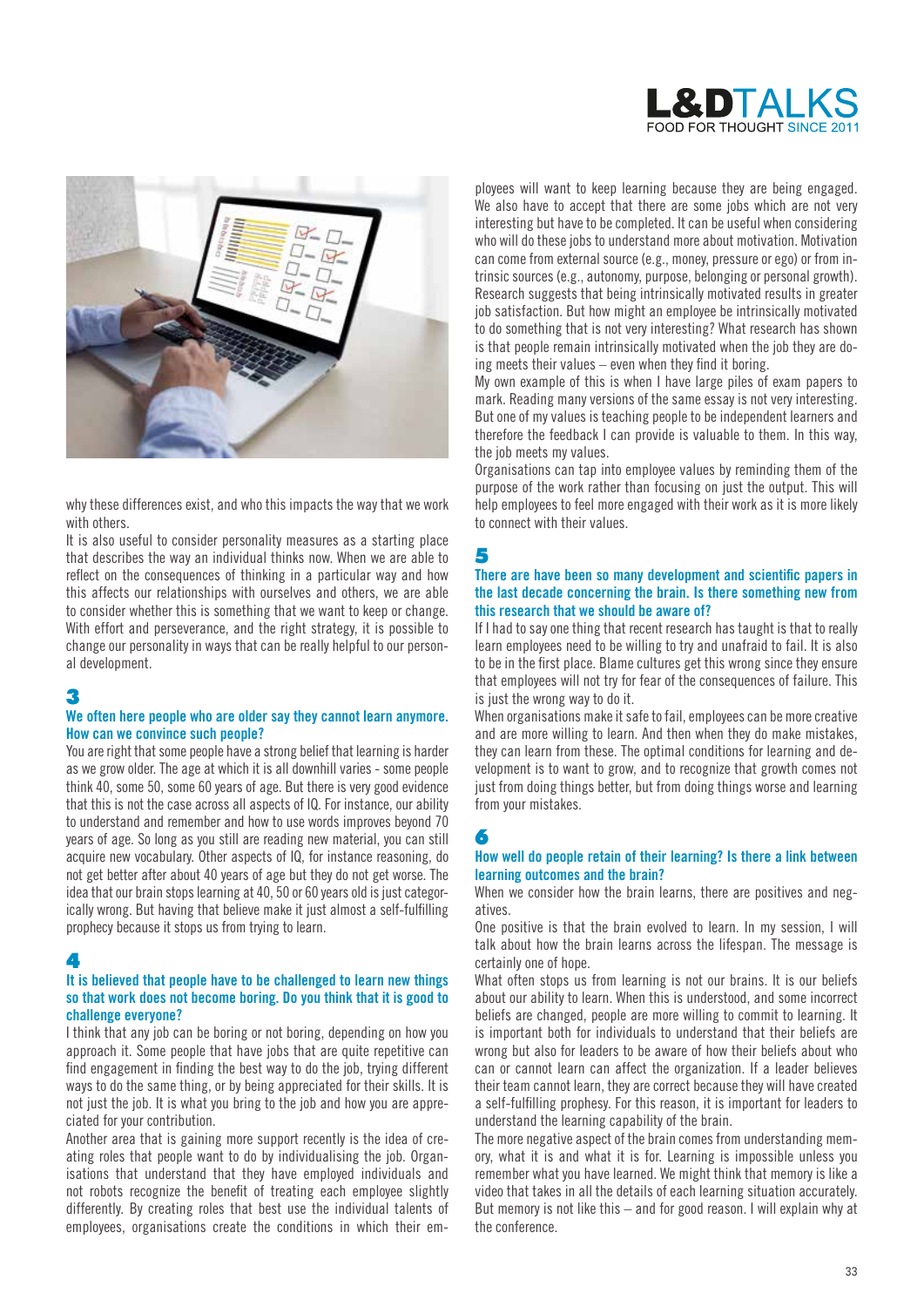



why these differences exist, and who this impacts the way that we work with others.

It is also useful to consider personality measures as a starting place that describes the way an individual thinks now. When we are able to reflect on the consequences of thinking in a particular way and how this affects our relationships with ourselves and others, we are able to consider whether this is something that we want to keep or change. With effort and perseverance, and the right strategy, it is possible to change our personality in ways that can be really helpful to our personal development.

## 3

### **We often here people who are older say they cannot learn anymore. How can we convince such people?**

You are right that some people have a strong belief that learning is harder as we grow older. The age at which it is all downhill varies - some people think 40, some 50, some 60 years of age. But there is very good evidence that this is not the case across all aspects of IQ. For instance, our ability to understand and remember and how to use words improves beyond 70 years of age. So long as you still are reading new material, you can still acquire new vocabulary. Other aspects of IQ, for instance reasoning, do not get better after about 40 years of age but they do not get worse. The idea that our brain stops learning at 40, 50 or 60 years old is just categorically wrong. But having that believe make it just almost a self-fulfilling prophecy because it stops us from trying to learn.

## 4

## **It is believed that people have to be challenged to learn new things so that work does not become boring. Do you think that it is good to challenge everyone?**

I think that any job can be boring or not boring, depending on how you approach it. Some people that have jobs that are quite repetitive can find engagement in finding the best way to do the job, trying different ways to do the same thing, or by being appreciated for their skills. It is not just the job. It is what you bring to the job and how you are appreciated for your contribution.

Another area that is gaining more support recently is the idea of creating roles that people want to do by individualising the job. Organisations that understand that they have employed individuals and not robots recognize the benefit of treating each employee slightly differently. By creating roles that best use the individual talents of employees, organisations create the conditions in which their employees will want to keep learning because they are being engaged. We also have to accept that there are some jobs which are not very interesting but have to be completed. It can be useful when considering who will do these jobs to understand more about motivation. Motivation can come from external source (e.g., money, pressure or ego) or from intrinsic sources (e.g., autonomy, purpose, belonging or personal growth). Research suggests that being intrinsically motivated results in greater job satisfaction. But how might an employee be intrinsically motivated to do something that is not very interesting? What research has shown is that people remain intrinsically motivated when the job they are doing meets their values – even when they find it boring.

My own example of this is when I have large piles of exam papers to mark. Reading many versions of the same essay is not very interesting. But one of my values is teaching people to be independent learners and therefore the feedback I can provide is valuable to them. In this way, the job meets my values.

Organisations can tap into employee values by reminding them of the purpose of the work rather than focusing on just the output. This will help employees to feel more engaged with their work as it is more likely to connect with their values.

## 5

## **There are have been so many development and scientific papers in the last decade concerning the brain. Is there something new from this research that we should be aware of?**

If I had to say one thing that recent research has taught is that to really learn employees need to be willing to try and unafraid to fail. It is also to be in the first place. Blame cultures get this wrong since they ensure that employees will not try for fear of the consequences of failure. This is just the wrong way to do it.

When organisations make it safe to fail, employees can be more creative and are more willing to learn. And then when they do make mistakes, they can learn from these. The optimal conditions for learning and development is to want to grow, and to recognize that growth comes not just from doing things better, but from doing things worse and learning from your mistakes.

## 6

#### **How well do people retain of their learning? Is there a link between learning outcomes and the brain?**

When we consider how the brain learns, there are positives and negatives.

One positive is that the brain evolved to learn. In my session, I will talk about how the brain learns across the lifespan. The message is certainly one of hope.

What often stops us from learning is not our brains. It is our beliefs about our ability to learn. When this is understood, and some incorrect beliefs are changed, people are more willing to commit to learning. It is important both for individuals to understand that their beliefs are wrong but also for leaders to be aware of how their beliefs about who can or cannot learn can affect the organization. If a leader believes their team cannot learn, they are correct because they will have created a self-fulfilling prophesy. For this reason, it is important for leaders to understand the learning capability of the brain.

The more negative aspect of the brain comes from understanding memory, what it is and what it is for. Learning is impossible unless you remember what you have learned. We might think that memory is like a video that takes in all the details of each learning situation accurately. But memory is not like this – and for good reason. I will explain why at the conference.